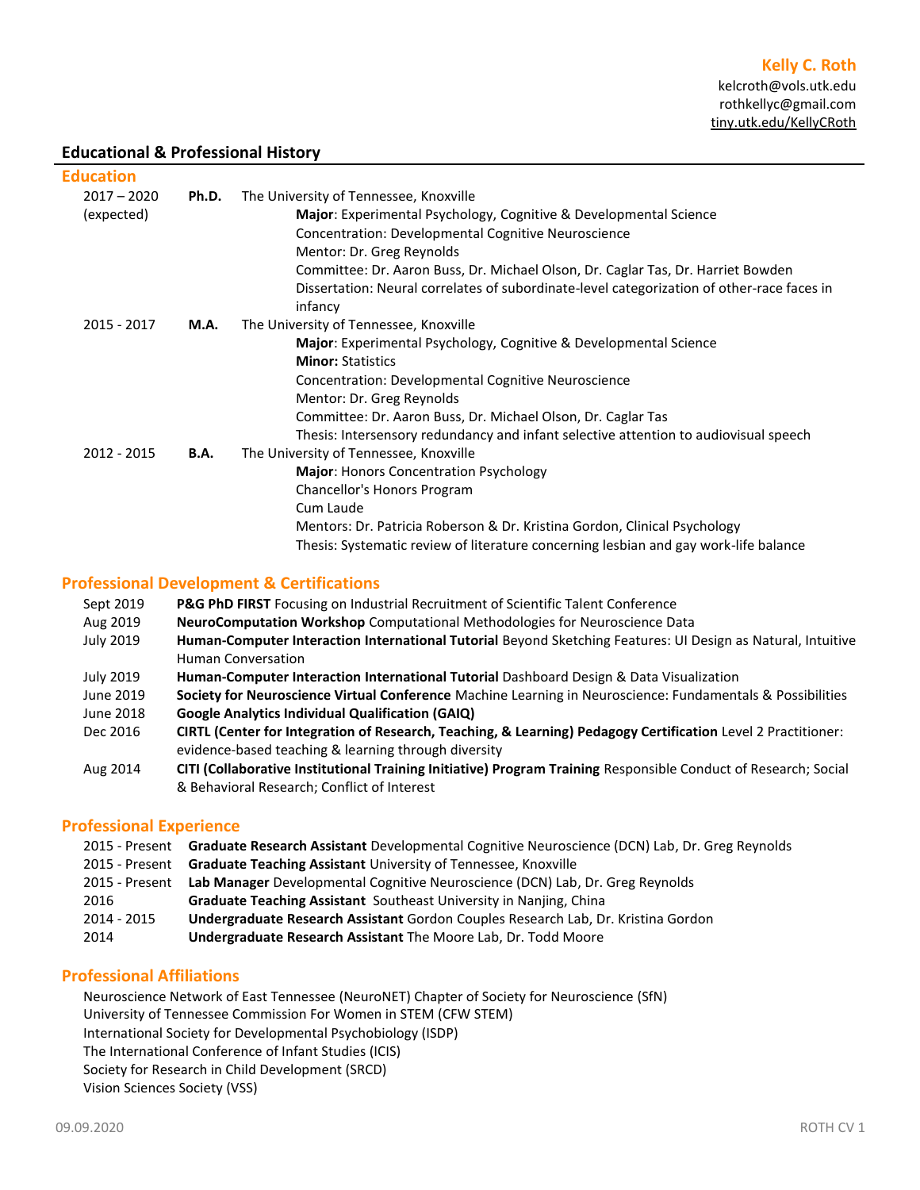# **Educational & Professional History**

### **Education**

| $2017 - 2020$<br>(expected) | Ph.D.       | The University of Tennessee, Knoxville<br>Major: Experimental Psychology, Cognitive & Developmental Science<br>Concentration: Developmental Cognitive Neuroscience<br>Mentor: Dr. Greg Reynolds<br>Committee: Dr. Aaron Buss, Dr. Michael Olson, Dr. Caglar Tas, Dr. Harriet Bowden<br>Dissertation: Neural correlates of subordinate-level categorization of other-race faces in<br>infancy |
|-----------------------------|-------------|----------------------------------------------------------------------------------------------------------------------------------------------------------------------------------------------------------------------------------------------------------------------------------------------------------------------------------------------------------------------------------------------|
| 2015 - 2017                 | M.A.        | The University of Tennessee, Knoxville<br>Major: Experimental Psychology, Cognitive & Developmental Science<br><b>Minor: Statistics</b><br><b>Concentration: Developmental Cognitive Neuroscience</b><br>Mentor: Dr. Greg Reynolds<br>Committee: Dr. Aaron Buss, Dr. Michael Olson, Dr. Caglar Tas<br>Thesis: Intersensory redundancy and infant selective attention to audiovisual speech   |
| 2012 - 2015                 | <b>B.A.</b> | The University of Tennessee, Knoxville<br>Major: Honors Concentration Psychology<br>Chancellor's Honors Program<br>Cum Laude<br>Mentors: Dr. Patricia Roberson & Dr. Kristina Gordon, Clinical Psychology<br>Thesis: Systematic review of literature concerning lesbian and gay work-life balance                                                                                            |

### **Professional Development & Certifications**

| Sept 2019        | <b>P&amp;G PhD FIRST</b> Focusing on Industrial Recruitment of Scientific Talent Conference                     |
|------------------|-----------------------------------------------------------------------------------------------------------------|
| Aug 2019         | NeuroComputation Workshop Computational Methodologies for Neuroscience Data                                     |
| <b>July 2019</b> | Human-Computer Interaction International Tutorial Beyond Sketching Features: UI Design as Natural, Intuitive    |
|                  | <b>Human Conversation</b>                                                                                       |
| July 2019        | Human-Computer Interaction International Tutorial Dashboard Design & Data Visualization                         |
| June 2019        | Society for Neuroscience Virtual Conference Machine Learning in Neuroscience: Fundamentals & Possibilities      |
| June 2018        | <b>Google Analytics Individual Qualification (GAIQ)</b>                                                         |
| Dec 2016         | CIRTL (Center for Integration of Research, Teaching, & Learning) Pedagogy Certification Level 2 Practitioner:   |
|                  | evidence-based teaching & learning through diversity                                                            |
| Aug 2014         | CITI (Collaborative Institutional Training Initiative) Program Training Responsible Conduct of Research; Social |
|                  | & Behavioral Research; Conflict of Interest                                                                     |

### **Professional Experience**

| 2015 - Present Graduate Research Assistant Developmental Cognitive Neuroscience (DCN) Lab, Dr. Greg Reynolds |
|--------------------------------------------------------------------------------------------------------------|
|                                                                                                              |
| <b>Lab Manager</b> Developmental Cognitive Neuroscience (DCN) Lab, Dr. Greg Reynolds                         |
|                                                                                                              |
| Undergraduate Research Assistant Gordon Couples Research Lab, Dr. Kristina Gordon                            |
|                                                                                                              |
| <b>Graduate Teaching Assistant</b> Southeast University in Nanjing, China                                    |

# **Professional Affiliations**

Neuroscience Network of East Tennessee (NeuroNET) Chapter of Society for Neuroscience (SfN) University of Tennessee Commission For Women in STEM (CFW STEM) International Society for Developmental Psychobiology (ISDP) The International Conference of Infant Studies (ICIS) Society for Research in Child Development (SRCD) Vision Sciences Society (VSS)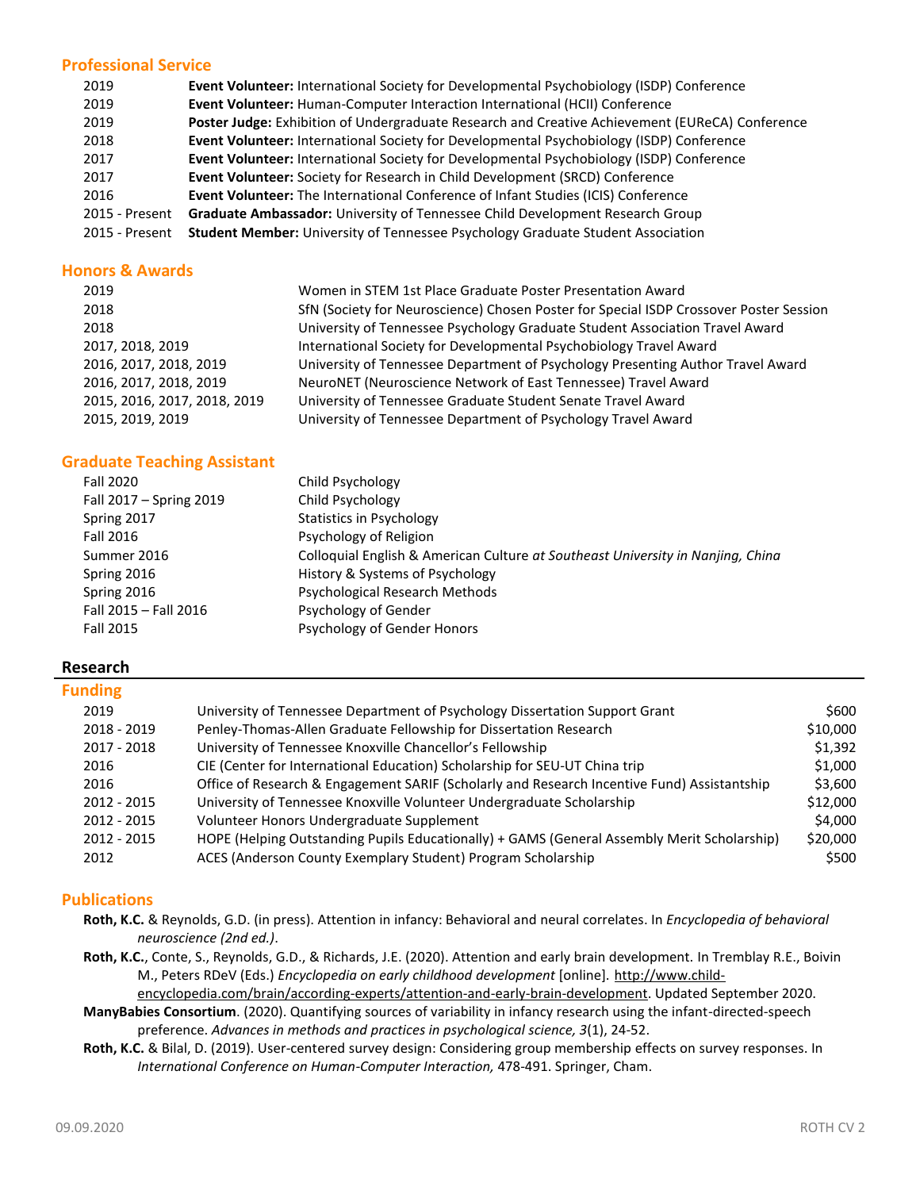## **Professional Service**

| 2019           | <b>Event Volunteer:</b> International Society for Developmental Psychobiology (ISDP) Conference |
|----------------|-------------------------------------------------------------------------------------------------|
| 2019           | Event Volunteer: Human-Computer Interaction International (HCII) Conference                     |
| 2019           | Poster Judge: Exhibition of Undergraduate Research and Creative Achievement (EUReCA) Conference |
| 2018           | Event Volunteer: International Society for Developmental Psychobiology (ISDP) Conference        |
| 2017           | <b>Event Volunteer:</b> International Society for Developmental Psychobiology (ISDP) Conference |
| 2017           | Event Volunteer: Society for Research in Child Development (SRCD) Conference                    |
| 2016           | <b>Event Volunteer:</b> The International Conference of Infant Studies (ICIS) Conference        |
| 2015 - Present | Graduate Ambassador: University of Tennessee Child Development Research Group                   |
| 2015 - Present | <b>Student Member:</b> University of Tennessee Psychology Graduate Student Association          |

### **Honors & Awards**

| 2019                         | Women in STEM 1st Place Graduate Poster Presentation Award                             |
|------------------------------|----------------------------------------------------------------------------------------|
| 2018                         | SfN (Society for Neuroscience) Chosen Poster for Special ISDP Crossover Poster Session |
| 2018                         | University of Tennessee Psychology Graduate Student Association Travel Award           |
| 2017, 2018, 2019             | International Society for Developmental Psychobiology Travel Award                     |
| 2016, 2017, 2018, 2019       | University of Tennessee Department of Psychology Presenting Author Travel Award        |
| 2016, 2017, 2018, 2019       | NeuroNET (Neuroscience Network of East Tennessee) Travel Award                         |
| 2015, 2016, 2017, 2018, 2019 | University of Tennessee Graduate Student Senate Travel Award                           |
| 2015, 2019, 2019             | University of Tennessee Department of Psychology Travel Award                          |
|                              |                                                                                        |

## **Graduate Teaching Assistant**

| Fall 2020               | Child Psychology                                                                |
|-------------------------|---------------------------------------------------------------------------------|
| Fall 2017 - Spring 2019 | Child Psychology                                                                |
| Spring 2017             | Statistics in Psychology                                                        |
| Fall 2016               | Psychology of Religion                                                          |
| Summer 2016             | Colloquial English & American Culture at Southeast University in Nanjing, Ching |
| Spring 2016             | History & Systems of Psychology                                                 |
| Spring 2016             | Psychological Research Methods                                                  |
| Fall 2015 - Fall 2016   | Psychology of Gender                                                            |
| Fall 2015               | Psychology of Gender Honors                                                     |

### **Research**

# **Funding**

| 2019        | University of Tennessee Department of Psychology Dissertation Support Grant                 | \$600    |
|-------------|---------------------------------------------------------------------------------------------|----------|
| 2018 - 2019 | Penley-Thomas-Allen Graduate Fellowship for Dissertation Research                           | \$10,000 |
| 2017 - 2018 | University of Tennessee Knoxville Chancellor's Fellowship                                   | \$1,392  |
| 2016        | CIE (Center for International Education) Scholarship for SEU-UT China trip                  | \$1,000  |
| 2016        | Office of Research & Engagement SARIF (Scholarly and Research Incentive Fund) Assistantship | \$3,600  |
| 2012 - 2015 | University of Tennessee Knoxville Volunteer Undergraduate Scholarship                       | \$12,000 |
| 2012 - 2015 | Volunteer Honors Undergraduate Supplement                                                   | \$4,000  |
| 2012 - 2015 | HOPE (Helping Outstanding Pupils Educationally) + GAMS (General Assembly Merit Scholarship) | \$20,000 |
| 2012        | ACES (Anderson County Exemplary Student) Program Scholarship                                | \$500    |
|             |                                                                                             |          |

# **Publications**

- **Roth, K.C.** & Reynolds, G.D. (in press). Attention in infancy: Behavioral and neural correlates. In *Encyclopedia of behavioral neuroscience (2nd ed.)*.
- **Roth, K.C.**, Conte, S., Reynolds, G.D., & Richards, J.E. (2020). Attention and early brain development. In Tremblay R.E., Boivin M., Peters RDeV (Eds.) *Encyclopedia on early childhood development* [online]. [http://www.child-](http://www.child-encyclopedia.com/brain/according-experts/attention-and-early-brain-development)

[encyclopedia.com/brain/according-experts/attention-and-early-brain-development.](http://www.child-encyclopedia.com/brain/according-experts/attention-and-early-brain-development) Updated September 2020.

**ManyBabies Consortium**. (2020). Quantifying sources of variability in infancy research using the infant-directed-speech preference. *Advances in methods and practices in psychological science, 3*(1), 24-52.

**Roth, K.C.** & Bilal, D. (2019). User-centered survey design: Considering group membership effects on survey responses. In *International Conference on Human-Computer Interaction,* 478-491. Springer, Cham.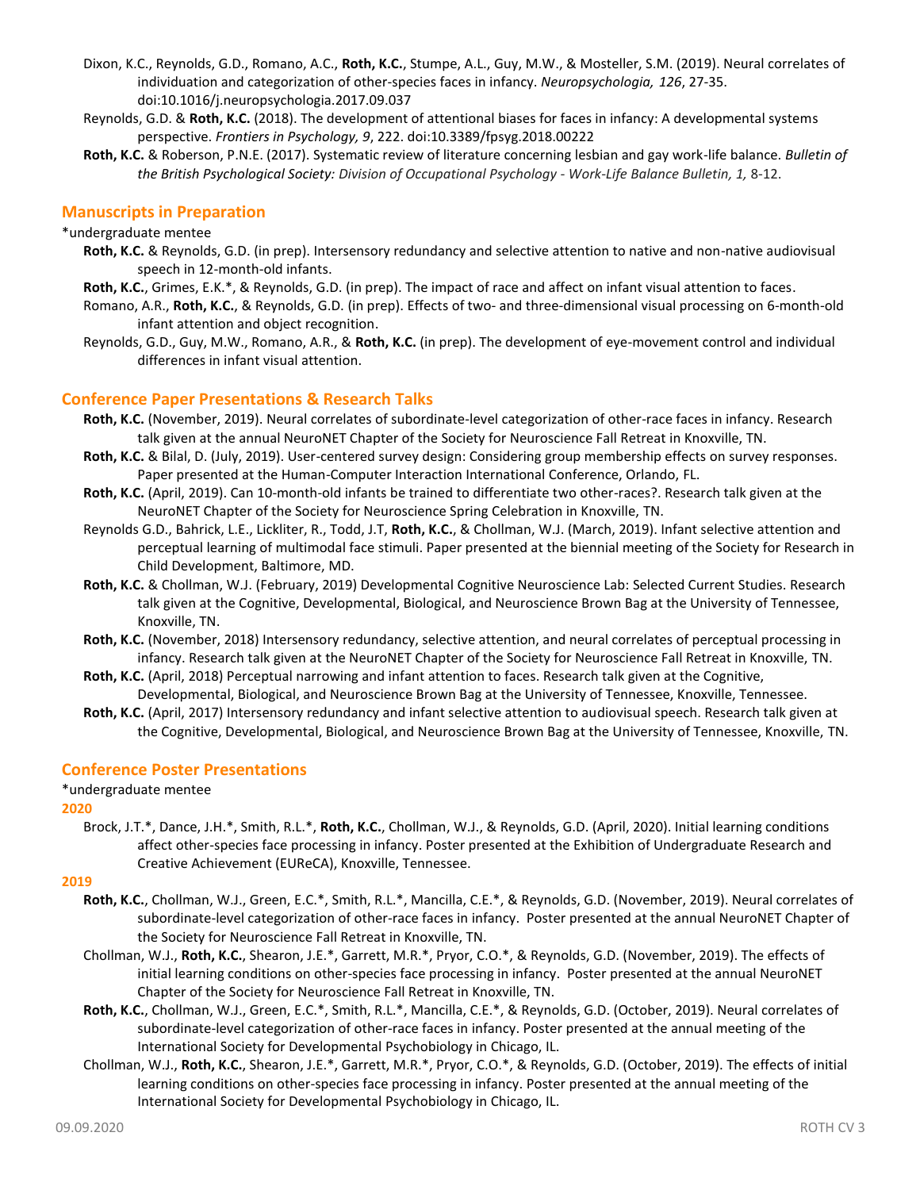- Dixon, K.C., Reynolds, G.D., Romano, A.C., **Roth, K.C.**, Stumpe, A.L., Guy, M.W., & Mosteller, S.M. (2019). Neural correlates of individuation and categorization of other-species faces in infancy. *Neuropsychologia, 126*, 27-35. doi:10.1016/j.neuropsychologia.2017.09.037
- Reynolds, G.D. & **Roth, K.C.** (2018). The development of attentional biases for faces in infancy: A developmental systems perspective. *Frontiers in Psychology, 9*, 222. doi:10.3389/fpsyg.2018.00222
- **Roth, K.C.** & Roberson, P.N.E. (2017). Systematic review of literature concerning lesbian and gay work-life balance. *Bulletin of the British Psychological Society: Division of Occupational Psychology - Work-Life Balance Bulletin, 1,* 8-12.

## **Manuscripts in Preparation**

#### \*undergraduate mentee

- **Roth, K.C.** & Reynolds, G.D. (in prep). Intersensory redundancy and selective attention to native and non-native audiovisual speech in 12-month-old infants.
- **Roth, K.C.**, Grimes, E.K.\*, & Reynolds, G.D. (in prep). The impact of race and affect on infant visual attention to faces.
- Romano, A.R., **Roth, K.C.**, & Reynolds, G.D. (in prep). Effects of two- and three-dimensional visual processing on 6-month-old infant attention and object recognition.
- Reynolds, G.D., Guy, M.W., Romano, A.R., & **Roth, K.C.** (in prep). The development of eye-movement control and individual differences in infant visual attention.

### **Conference Paper Presentations & Research Talks**

- **Roth, K.C.** (November, 2019). Neural correlates of subordinate-level categorization of other-race faces in infancy. Research talk given at the annual NeuroNET Chapter of the Society for Neuroscience Fall Retreat in Knoxville, TN.
- **Roth, K.C.** & Bilal, D. (July, 2019). User-centered survey design: Considering group membership effects on survey responses. Paper presented at the Human-Computer Interaction International Conference, Orlando, FL.
- **Roth, K.C.** (April, 2019). Can 10-month-old infants be trained to differentiate two other-races?. Research talk given at the NeuroNET Chapter of the Society for Neuroscience Spring Celebration in Knoxville, TN.
- Reynolds G.D., Bahrick, L.E., Lickliter, R., Todd, J.T, **Roth, K.C.**, & Chollman, W.J. (March, 2019). Infant selective attention and perceptual learning of multimodal face stimuli. Paper presented at the biennial meeting of the Society for Research in Child Development, Baltimore, MD.
- **Roth, K.C.** & Chollman, W.J. (February, 2019) Developmental Cognitive Neuroscience Lab: Selected Current Studies. Research talk given at the Cognitive, Developmental, Biological, and Neuroscience Brown Bag at the University of Tennessee, Knoxville, TN.
- **Roth, K.C.** (November, 2018) Intersensory redundancy, selective attention, and neural correlates of perceptual processing in infancy. Research talk given at the NeuroNET Chapter of the Society for Neuroscience Fall Retreat in Knoxville, TN.
- **Roth, K.C.** (April, 2018) Perceptual narrowing and infant attention to faces. Research talk given at the Cognitive, Developmental, Biological, and Neuroscience Brown Bag at the University of Tennessee, Knoxville, Tennessee.
- **Roth, K.C.** (April, 2017) Intersensory redundancy and infant selective attention to audiovisual speech. Research talk given at the Cognitive, Developmental, Biological, and Neuroscience Brown Bag at the University of Tennessee, Knoxville, TN.

### **Conference Poster Presentations**

#### \*undergraduate mentee

#### **2020**

Brock, J.T.\*, Dance, J.H.\*, Smith, R.L.\*, **Roth, K.C.**, Chollman, W.J., & Reynolds, G.D. (April, 2020). Initial learning conditions affect other-species face processing in infancy. Poster presented at the Exhibition of Undergraduate Research and Creative Achievement (EUReCA), Knoxville, Tennessee.

#### **2019**

- **Roth, K.C.**, Chollman, W.J., Green, E.C.\*, Smith, R.L.\*, Mancilla, C.E.\*, & Reynolds, G.D. (November, 2019). Neural correlates of subordinate-level categorization of other-race faces in infancy. Poster presented at the annual NeuroNET Chapter of the Society for Neuroscience Fall Retreat in Knoxville, TN.
- Chollman, W.J., **Roth, K.C.**, Shearon, J.E.\*, Garrett, M.R.\*, Pryor, C.O.\*, & Reynolds, G.D. (November, 2019). The effects of initial learning conditions on other-species face processing in infancy. Poster presented at the annual NeuroNET Chapter of the Society for Neuroscience Fall Retreat in Knoxville, TN.
- **Roth, K.C.**, Chollman, W.J., Green, E.C.\*, Smith, R.L.\*, Mancilla, C.E.\*, & Reynolds, G.D. (October, 2019). Neural correlates of subordinate-level categorization of other-race faces in infancy. Poster presented at the annual meeting of the International Society for Developmental Psychobiology in Chicago, IL.
- Chollman, W.J., **Roth, K.C.**, Shearon, J.E.\*, Garrett, M.R.\*, Pryor, C.O.\*, & Reynolds, G.D. (October, 2019). The effects of initial learning conditions on other-species face processing in infancy. Poster presented at the annual meeting of the International Society for Developmental Psychobiology in Chicago, IL.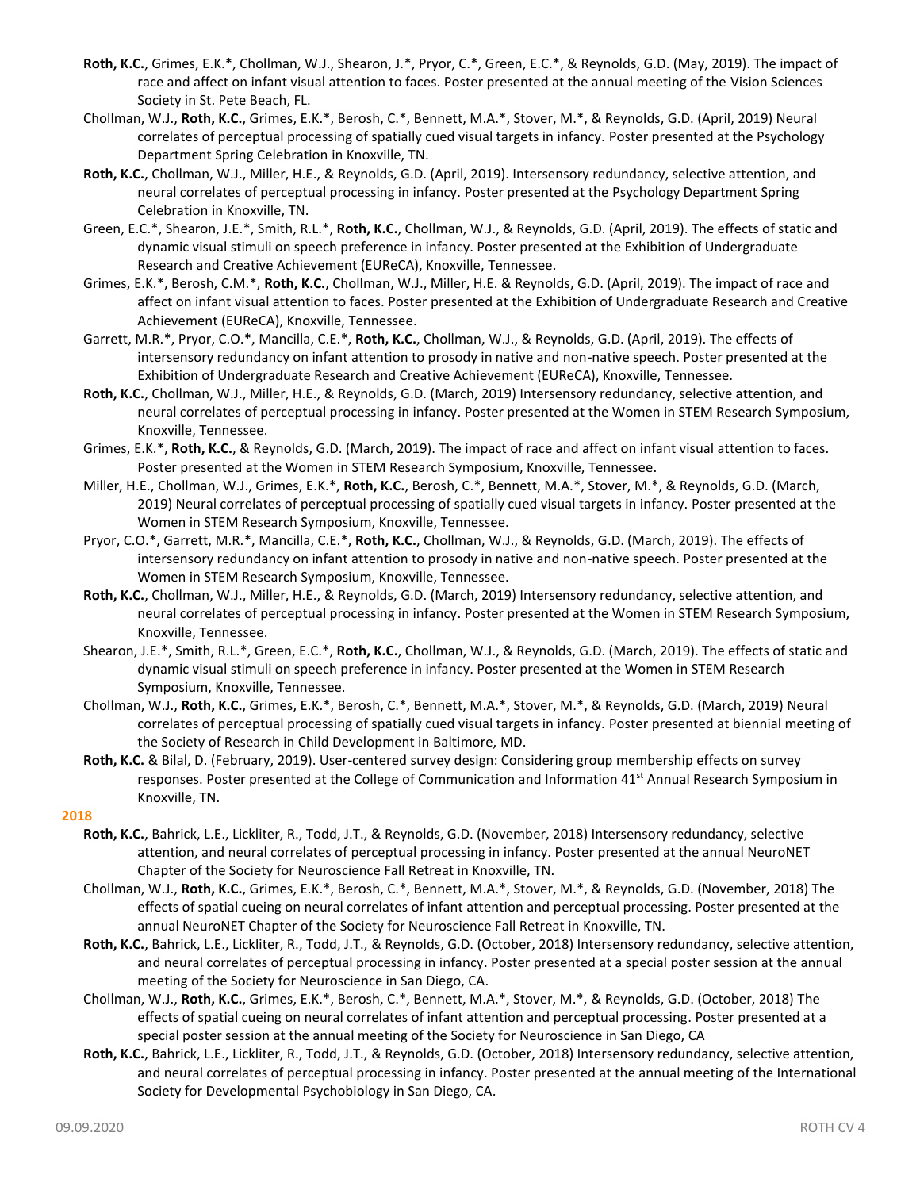- **Roth, K.C.**, Grimes, E.K.\*, Chollman, W.J., Shearon, J.\*, Pryor, C.\*, Green, E.C.\*, & Reynolds, G.D. (May, 2019). The impact of race and affect on infant visual attention to faces. Poster presented at the annual meeting of the Vision Sciences Society in St. Pete Beach, FL.
- Chollman, W.J., **Roth, K.C.**, Grimes, E.K.\*, Berosh, C.\*, Bennett, M.A.\*, Stover, M.\*, & Reynolds, G.D. (April, 2019) Neural correlates of perceptual processing of spatially cued visual targets in infancy. Poster presented at the Psychology Department Spring Celebration in Knoxville, TN.
- **Roth, K.C.**, Chollman, W.J., Miller, H.E., & Reynolds, G.D. (April, 2019). Intersensory redundancy, selective attention, and neural correlates of perceptual processing in infancy. Poster presented at the Psychology Department Spring Celebration in Knoxville, TN.
- Green, E.C.\*, Shearon, J.E.\*, Smith, R.L.\*, **Roth, K.C.**, Chollman, W.J., & Reynolds, G.D. (April, 2019). The effects of static and dynamic visual stimuli on speech preference in infancy. Poster presented at the Exhibition of Undergraduate Research and Creative Achievement (EUReCA), Knoxville, Tennessee.
- Grimes, E.K.\*, Berosh, C.M.\*, **Roth, K.C.**, Chollman, W.J., Miller, H.E. & Reynolds, G.D. (April, 2019). The impact of race and affect on infant visual attention to faces. Poster presented at the Exhibition of Undergraduate Research and Creative Achievement (EUReCA), Knoxville, Tennessee.
- Garrett, M.R.\*, Pryor, C.O.\*, Mancilla, C.E.\*, **Roth, K.C.**, Chollman, W.J., & Reynolds, G.D. (April, 2019). The effects of intersensory redundancy on infant attention to prosody in native and non-native speech. Poster presented at the Exhibition of Undergraduate Research and Creative Achievement (EUReCA), Knoxville, Tennessee.
- **Roth, K.C.**, Chollman, W.J., Miller, H.E., & Reynolds, G.D. (March, 2019) Intersensory redundancy, selective attention, and neural correlates of perceptual processing in infancy. Poster presented at the Women in STEM Research Symposium, Knoxville, Tennessee.
- Grimes, E.K.\*, **Roth, K.C.**, & Reynolds, G.D. (March, 2019). The impact of race and affect on infant visual attention to faces. Poster presented at the Women in STEM Research Symposium, Knoxville, Tennessee.
- Miller, H.E., Chollman, W.J., Grimes, E.K.\*, **Roth, K.C.**, Berosh, C.\*, Bennett, M.A.\*, Stover, M.\*, & Reynolds, G.D. (March, 2019) Neural correlates of perceptual processing of spatially cued visual targets in infancy. Poster presented at the Women in STEM Research Symposium, Knoxville, Tennessee.
- Pryor, C.O.\*, Garrett, M.R.\*, Mancilla, C.E.\*, **Roth, K.C.**, Chollman, W.J., & Reynolds, G.D. (March, 2019). The effects of intersensory redundancy on infant attention to prosody in native and non-native speech. Poster presented at the Women in STEM Research Symposium, Knoxville, Tennessee.
- **Roth, K.C.**, Chollman, W.J., Miller, H.E., & Reynolds, G.D. (March, 2019) Intersensory redundancy, selective attention, and neural correlates of perceptual processing in infancy. Poster presented at the Women in STEM Research Symposium, Knoxville, Tennessee.
- Shearon, J.E.\*, Smith, R.L.\*, Green, E.C.\*, **Roth, K.C.**, Chollman, W.J., & Reynolds, G.D. (March, 2019). The effects of static and dynamic visual stimuli on speech preference in infancy. Poster presented at the Women in STEM Research Symposium, Knoxville, Tennessee.
- Chollman, W.J., **Roth, K.C.**, Grimes, E.K.\*, Berosh, C.\*, Bennett, M.A.\*, Stover, M.\*, & Reynolds, G.D. (March, 2019) Neural correlates of perceptual processing of spatially cued visual targets in infancy. Poster presented at biennial meeting of the Society of Research in Child Development in Baltimore, MD.
- **Roth, K.C.** & Bilal, D. (February, 2019). User-centered survey design: Considering group membership effects on survey responses. Poster presented at the College of Communication and Information 41<sup>st</sup> Annual Research Symposium in Knoxville, TN.

#### **2018**

- **Roth, K.C.**, Bahrick, L.E., Lickliter, R., Todd, J.T., & Reynolds, G.D. (November, 2018) Intersensory redundancy, selective attention, and neural correlates of perceptual processing in infancy. Poster presented at the annual NeuroNET Chapter of the Society for Neuroscience Fall Retreat in Knoxville, TN.
- Chollman, W.J., **Roth, K.C.**, Grimes, E.K.\*, Berosh, C.\*, Bennett, M.A.\*, Stover, M.\*, & Reynolds, G.D. (November, 2018) The effects of spatial cueing on neural correlates of infant attention and perceptual processing. Poster presented at the annual NeuroNET Chapter of the Society for Neuroscience Fall Retreat in Knoxville, TN.
- **Roth, K.C.**, Bahrick, L.E., Lickliter, R., Todd, J.T., & Reynolds, G.D. (October, 2018) Intersensory redundancy, selective attention, and neural correlates of perceptual processing in infancy. Poster presented at a special poster session at the annual meeting of the Society for Neuroscience in San Diego, CA.
- Chollman, W.J., **Roth, K.C.**, Grimes, E.K.\*, Berosh, C.\*, Bennett, M.A.\*, Stover, M.\*, & Reynolds, G.D. (October, 2018) The effects of spatial cueing on neural correlates of infant attention and perceptual processing. Poster presented at a special poster session at the annual meeting of the Society for Neuroscience in San Diego, CA
- **Roth, K.C.**, Bahrick, L.E., Lickliter, R., Todd, J.T., & Reynolds, G.D. (October, 2018) Intersensory redundancy, selective attention, and neural correlates of perceptual processing in infancy. Poster presented at the annual meeting of the International Society for Developmental Psychobiology in San Diego, CA.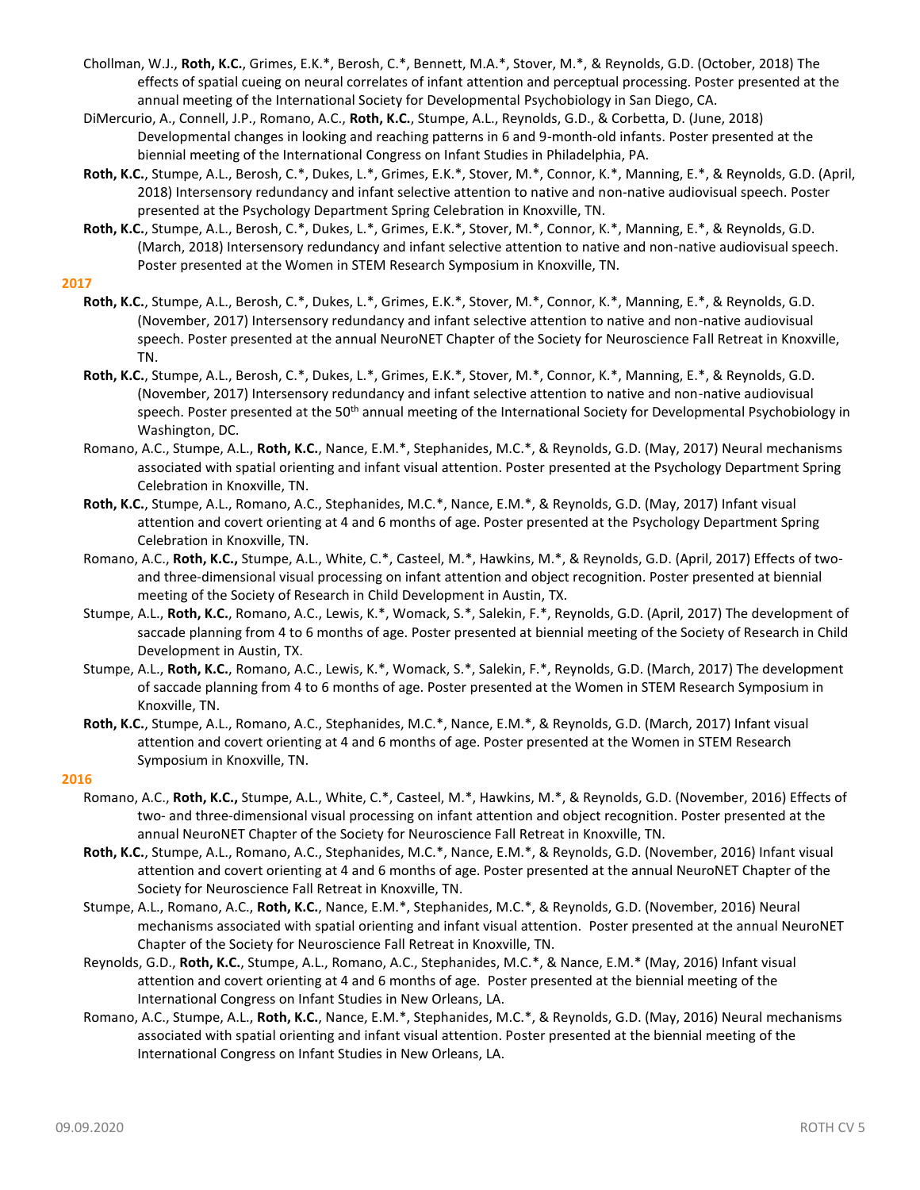- Chollman, W.J., **Roth, K.C.**, Grimes, E.K.\*, Berosh, C.\*, Bennett, M.A.\*, Stover, M.\*, & Reynolds, G.D. (October, 2018) The effects of spatial cueing on neural correlates of infant attention and perceptual processing. Poster presented at the annual meeting of the International Society for Developmental Psychobiology in San Diego, CA.
- DiMercurio, A., Connell, J.P., Romano, A.C., **Roth, K.C.**, Stumpe, A.L., Reynolds, G.D., & Corbetta, D. (June, 2018) Developmental changes in looking and reaching patterns in 6 and 9-month-old infants. Poster presented at the biennial meeting of the International Congress on Infant Studies in Philadelphia, PA.
- **Roth, K.C.**, Stumpe, A.L., Berosh, C.\*, Dukes, L.\*, Grimes, E.K.\*, Stover, M.\*, Connor, K.\*, Manning, E.\*, & Reynolds, G.D. (April, 2018) Intersensory redundancy and infant selective attention to native and non-native audiovisual speech. Poster presented at the Psychology Department Spring Celebration in Knoxville, TN.
- **Roth, K.C.**, Stumpe, A.L., Berosh, C.\*, Dukes, L.\*, Grimes, E.K.\*, Stover, M.\*, Connor, K.\*, Manning, E.\*, & Reynolds, G.D. (March, 2018) Intersensory redundancy and infant selective attention to native and non-native audiovisual speech. Poster presented at the Women in STEM Research Symposium in Knoxville, TN.

#### **2017**

- **Roth, K.C.**, Stumpe, A.L., Berosh, C.\*, Dukes, L.\*, Grimes, E.K.\*, Stover, M.\*, Connor, K.\*, Manning, E.\*, & Reynolds, G.D. (November, 2017) Intersensory redundancy and infant selective attention to native and non-native audiovisual speech. Poster presented at the annual NeuroNET Chapter of the Society for Neuroscience Fall Retreat in Knoxville, TN.
- **Roth, K.C.**, Stumpe, A.L., Berosh, C.\*, Dukes, L.\*, Grimes, E.K.\*, Stover, M.\*, Connor, K.\*, Manning, E.\*, & Reynolds, G.D. (November, 2017) Intersensory redundancy and infant selective attention to native and non-native audiovisual speech. Poster presented at the 50<sup>th</sup> annual meeting of the International Society for Developmental Psychobiology in Washington, DC.
- Romano, A.C., Stumpe, A.L., **Roth, K.C.**, Nance, E.M.\*, Stephanides, M.C.\*, & Reynolds, G.D. (May, 2017) Neural mechanisms associated with spatial orienting and infant visual attention. Poster presented at the Psychology Department Spring Celebration in Knoxville, TN.
- **Roth, K.C.**, Stumpe, A.L., Romano, A.C., Stephanides, M.C.\*, Nance, E.M.\*, & Reynolds, G.D. (May, 2017) Infant visual attention and covert orienting at 4 and 6 months of age. Poster presented at the Psychology Department Spring Celebration in Knoxville, TN.
- Romano, A.C., **Roth, K.C.,** Stumpe, A.L., White, C.\*, Casteel, M.\*, Hawkins, M.\*, & Reynolds, G.D. (April, 2017) Effects of twoand three-dimensional visual processing on infant attention and object recognition. Poster presented at biennial meeting of the Society of Research in Child Development in Austin, TX.
- Stumpe, A.L., **Roth, K.C.**, Romano, A.C., Lewis, K.\*, Womack, S.\*, Salekin, F.\*, Reynolds, G.D. (April, 2017) The development of saccade planning from 4 to 6 months of age. Poster presented at biennial meeting of the Society of Research in Child Development in Austin, TX.
- Stumpe, A.L., **Roth, K.C.**, Romano, A.C., Lewis, K.\*, Womack, S.\*, Salekin, F.\*, Reynolds, G.D. (March, 2017) The development of saccade planning from 4 to 6 months of age. Poster presented at the Women in STEM Research Symposium in Knoxville, TN.
- **Roth, K.C.**, Stumpe, A.L., Romano, A.C., Stephanides, M.C.\*, Nance, E.M.\*, & Reynolds, G.D. (March, 2017) Infant visual attention and covert orienting at 4 and 6 months of age. Poster presented at the Women in STEM Research Symposium in Knoxville, TN.

#### **2016**

- Romano, A.C., **Roth, K.C.,** Stumpe, A.L., White, C.\*, Casteel, M.\*, Hawkins, M.\*, & Reynolds, G.D. (November, 2016) Effects of two- and three-dimensional visual processing on infant attention and object recognition. Poster presented at the annual NeuroNET Chapter of the Society for Neuroscience Fall Retreat in Knoxville, TN.
- **Roth, K.C.**, Stumpe, A.L., Romano, A.C., Stephanides, M.C.\*, Nance, E.M.\*, & Reynolds, G.D. (November, 2016) Infant visual attention and covert orienting at 4 and 6 months of age. Poster presented at the annual NeuroNET Chapter of the Society for Neuroscience Fall Retreat in Knoxville, TN.
- Stumpe, A.L., Romano, A.C., **Roth, K.C.**, Nance, E.M.\*, Stephanides, M.C.\*, & Reynolds, G.D. (November, 2016) Neural mechanisms associated with spatial orienting and infant visual attention. Poster presented at the annual NeuroNET Chapter of the Society for Neuroscience Fall Retreat in Knoxville, TN.
- Reynolds, G.D., **Roth, K.C.**, Stumpe, A.L., Romano, A.C., Stephanides, M.C.\*, & Nance, E.M.\* (May, 2016) Infant visual attention and covert orienting at 4 and 6 months of age. Poster presented at the biennial meeting of the International Congress on Infant Studies in New Orleans, LA.
- Romano, A.C., Stumpe, A.L., **Roth, K.C.**, Nance, E.M.\*, Stephanides, M.C.\*, & Reynolds, G.D. (May, 2016) Neural mechanisms associated with spatial orienting and infant visual attention. Poster presented at the biennial meeting of the International Congress on Infant Studies in New Orleans, LA.